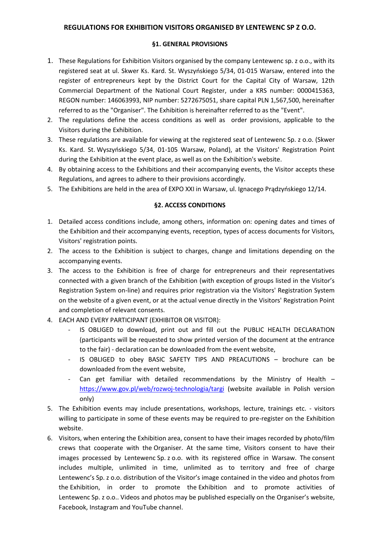## **REGULATIONS FOR EXHIBITION VISITORS ORGANISED BY LENTEWENC SP Z O.O.**

## **§1. GENERAL PROVISIONS**

- 1. These Regulations for Exhibition Visitors organised by the company Lentewenc sp. z o.o., with its registered seat at ul. Skwer Ks. Kard. St. Wyszyńskiego 5/34, 01-015 Warsaw, entered into the register of entrepreneurs kept by the District Court for the Capital City of Warsaw, 12th Commercial Department of the National Court Register, under a KRS number: 0000415363, REGON number: 146063993, NIP number: 5272675051, share capital PLN 1,567,500, hereinafter referred to as the "Organiser". The Exhibition is hereinafter referred to as the "Event".
- 2. The regulations define the access conditions as well as order provisions, applicable to the Visitors during the Exhibition.
- 3. These regulations are available for viewing at the registered seat of Lentewenc Sp. z o.o. (Skwer Ks. Kard. St. Wyszyńskiego 5/34, 01-105 Warsaw, Poland), at the Visitors' Registration Point during the Exhibition at the event place, as well as on the Exhibition's website.
- 4. By obtaining access to the Exhibitions and their accompanying events, the Visitor accepts these Regulations, and agrees to adhere to their provisions accordingly.
- 5. The Exhibitions are held in the area of EXPO XXI in Warsaw, ul. Ignacego Prądzyńskiego 12/14.

## **§2. ACCESS CONDITIONS**

- 1. Detailed access conditions include, among others, information on: opening dates and times of the Exhibition and their accompanying events, reception, types of access documents for Visitors, Visitors' registration points.
- 2. The access to the Exhibition is subject to charges, change and limitations depending on the accompanying events.
- 3. The access to the Exhibition is free of charge for entrepreneurs and their representatives connected with a given branch of the Exhibition (with exception of groups listed in the Visitor's Registration System on-line) and requires prior registration via the Visitors' Registration System on the website of a given event, or at the actual venue directly in the Visitors' Registration Point and completion of relevant consents.
- 4. EACH AND EVERY PARTICIPANT (EXHIBITOR OR VISITOR):
	- IS OBLIGED to download, print out and fill out the PUBLIC HEALTH DECLARATION (participants will be requested to show printed version of the document at the entrance to the fair) - declaration can be downloaded from the event website,
	- IS OBLIGED to obey BASIC SAFETY TIPS AND PREACUTIONS brochure can be downloaded from the event website,
	- Can get familiar with detailed recommendations by the Ministry of Health  $$ <https://www.gov.pl/web/rozwoj-technologia/targi> (website available in Polish version only)
- 5. The Exhibition events may include presentations, workshops, lecture, trainings etc. visitors willing to participate in some of these events may be required to pre-register on the Exhibition website.
- 6. Visitors, when entering the Exhibition area, consent to have their images recorded by photo/film crews that cooperate with the Organiser. At the same time, Visitors consent to have their images processed by Lentewenc Sp. z o.o. with its registered office in Warsaw. The consent includes multiple, unlimited in time, unlimited as to territory and free of charge Lentewenc's Sp. z o.o. distribution of the Visitor's image contained in the video and photos from the Exhibition, in order to promote the Exhibition and to promote activities of Lentewenc Sp. z o.o.. Videos and photos may be published especially on the Organiser's website, Facebook, Instagram and YouTube channel.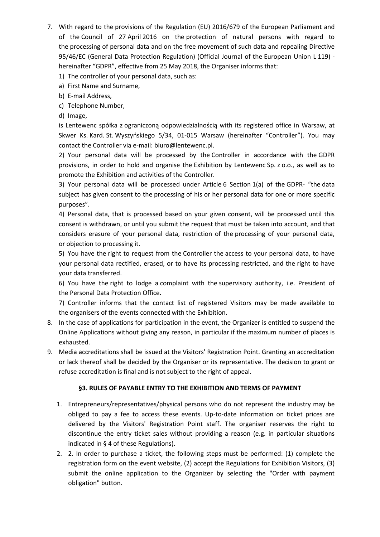- 7. With regard to the provisions of the Regulation (EU) 2016/679 of the European Parliament and of the Council of 27 April 2016 on the protection of natural persons with regard to the processing of personal data and on the free movement of such data and repealing Directive 95/46/EC (General Data Protection Regulation) (Official Journal of the European Union L 119) hereinafter "GDPR", effective from 25 May 2018, the Organiser informs that:
	- 1) The controller of your personal data, such as:
	- a) First Name and Surname,
	- b) E-mail Address,
	- c) Telephone Number,
	- d) Image,

is Lentewenc spółka z ograniczoną odpowiedzialnością with its registered office in Warsaw, at Skwer Ks. Kard. St. Wyszyńskiego 5/34, 01-015 Warsaw (hereinafter "Controller"). You may contact the Controller via e-mail: biuro@lentewenc.pl.

2) Your personal data will be processed by the Controller in accordance with the GDPR provisions, in order to hold and organise the Exhibition by Lentewenc Sp. z o.o., as well as to promote the Exhibition and activities of the Controller.

3) Your personal data will be processed under Article 6 Section 1(a) of the GDPR- "the data subject has given consent to the processing of his or her personal data for one or more specific purposes".

4) Personal data, that is processed based on your given consent, will be processed until this consent is withdrawn, or until you submit the request that must be taken into account, and that considers erasure of your personal data, restriction of the processing of your personal data, or objection to processing it.

5) You have the right to request from the Controller the access to your personal data, to have your personal data rectified, erased, or to have its processing restricted, and the right to have your data transferred.

6) You have the right to lodge a complaint with the supervisory authority, i.e. President of the Personal Data Protection Office.

7) Controller informs that the contact list of registered Visitors may be made available to the organisers of the events connected with the Exhibition.

- 8. In the case of applications for participation in the event, the Organizer is entitled to suspend the Online Applications without giving any reason, in particular if the maximum number of places is exhausted.
- 9. Media accreditations shall be issued at the Visitors' Registration Point. Granting an accreditation or lack thereof shall be decided by the Organiser or its representative. The decision to grant or refuse accreditation is final and is not subject to the right of appeal.

# **§3. RULES OF PAYABLE ENTRY TO THE EXHIBITION AND TERMS OF PAYMENT**

- 1. Entrepreneurs/representatives/physical persons who do not represent the industry may be obliged to pay a fee to access these events. Up-to-date information on ticket prices are delivered by the Visitors' Registration Point staff. The organiser reserves the right to discontinue the entry ticket sales without providing a reason (e.g. in particular situations indicated in § 4 of these Regulations).
- 2. 2. In order to purchase a ticket, the following steps must be performed: (1) complete the registration form on the event website, (2) accept the Regulations for Exhibition Visitors, (3) submit the online application to the Organizer by selecting the "Order with payment obligation" button.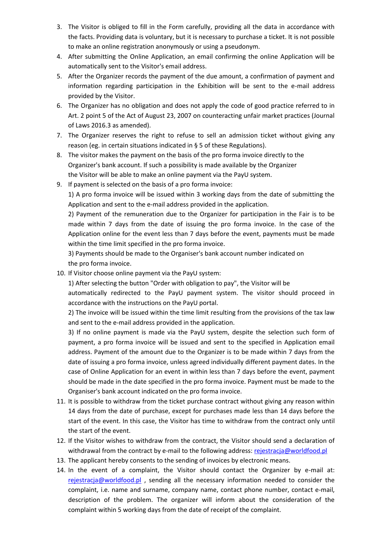- 3. The Visitor is obliged to fill in the Form carefully, providing all the data in accordance with the facts. Providing data is voluntary, but it is necessary to purchase a ticket. It is not possible to make an online registration anonymously or using a pseudonym.
- 4. After submitting the Online Application, an email confirming the online Application will be automatically sent to the Visitor's email address.
- 5. After the Organizer records the payment of the due amount, a confirmation of payment and information regarding participation in the Exhibition will be sent to the e-mail address provided by the Visitor.
- 6. The Organizer has no obligation and does not apply the code of good practice referred to in Art. 2 point 5 of the Act of August 23, 2007 on counteracting unfair market practices (Journal of Laws 2016.3 as amended).
- 7. The Organizer reserves the right to refuse to sell an admission ticket without giving any reason (eg. in certain situations indicated in § 5 of these Regulations).
- 8. The visitor makes the payment on the basis of the pro forma invoice directly to the Organizer's bank account. If such a possibility is made available by the Organizer the Visitor will be able to make an online payment via the PayU system.
- 9. If payment is selected on the basis of a pro forma invoice:

1) A pro forma invoice will be issued within 3 working days from the date of submitting the Application and sent to the e-mail address provided in the application.

2) Payment of the remuneration due to the Organizer for participation in the Fair is to be made within 7 days from the date of issuing the pro forma invoice. In the case of the Application online for the event less than 7 days before the event, payments must be made within the time limit specified in the pro forma invoice.

3) Payments should be made to the Organiser's bank account number indicated on the pro forma invoice.

10. If Visitor choose online payment via the PayU system:

1) After selecting the button "Order with obligation to pay", the Visitor will be

automatically redirected to the PayU payment system. The visitor should proceed in accordance with the instructions on the PayU portal.

2) The invoice will be issued within the time limit resulting from the provisions of the tax law and sent to the e-mail address provided in the application.

3) If no online payment is made via the PayU system, despite the selection such form of payment, a pro forma invoice will be issued and sent to the specified in Application email address. Payment of the amount due to the Organizer is to be made within 7 days from the date of issuing a pro forma invoice, unless agreed individually different payment dates. In the case of Online Application for an event in within less than 7 days before the event, payment should be made in the date specified in the pro forma invoice. Payment must be made to the Organiser's bank account indicated on the pro forma invoice.

- 11. It is possible to withdraw from the ticket purchase contract without giving any reason within 14 days from the date of purchase, except for purchases made less than 14 days before the start of the event. In this case, the Visitor has time to withdraw from the contract only until the start of the event.
- 12. If the Visitor wishes to withdraw from the contract, the Visitor should send a declaration of withdrawal from the contract by e-mail to the following address: [rejestracja@worldfood.pl](mailto:rejestracja@worldfood.pl)
- 13. The applicant hereby consents to the sending of invoices by electronic means.
- 14. In the event of a complaint, the Visitor should contact the Organizer by e-mail at: [rejestracja@worldfood.pl](mailto:rejestracja@worldfood.pl) , sending all the necessary information needed to consider the complaint, i.e. name and surname, company name, contact phone number, contact e-mail, description of the problem. The organizer will inform about the consideration of the complaint within 5 working days from the date of receipt of the complaint.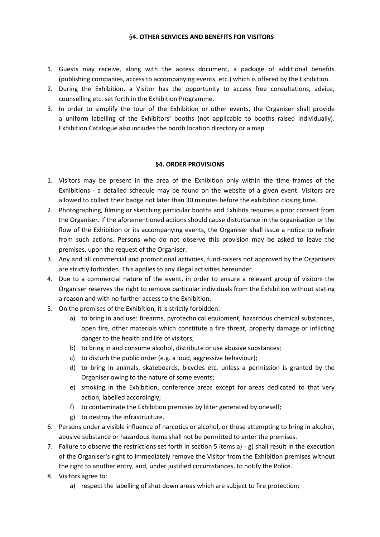#### §**4. OTHER SERVICES AND BENEFITS FOR VISITORS**

- 1. Guests may receive, along with the access document, a package of additional benefits (publishing companies, access to accompanying events, etc.) which is offered by the Exhibition.
- 2. During the Exhibition, a Visitor has the opportunity to access free consultations, advice, counselling etc. set forth in the Exhibition Programme.
- 3. In order to simplify the tour of the Exhibition or other events, the Organiser shall provide a uniform labelling of the Exhibitors' booths (not applicable to booths raised individually). Exhibition Catalogue also includes the booth location directory or a map.

# **§4. ORDER PROVISIONS**

- 1. Visitors may be present in the area of the Exhibition only within the time frames of the Exhibitions - a detailed schedule may be found on the website of a given event. Visitors are allowed to collect their badge not later than 30 minutes before the exhibition closing time.
- 2. Photographing, filming or sketching particular booths and Exhibits requires a prior consent from the Organiser. If the aforementioned actions should cause disturbance in the organisation or the flow of the Exhibition or its accompanying events, the Organiser shall issue a notice to refrain from such actions. Persons who do not observe this provision may be asked to leave the premises, upon the request of the Organiser.
- 3. Any and all commercial and promotional activities, fund-raisers not approved by the Organisers are strictly forbidden. This applies to any illegal activities hereunder.
- 4. Due to a commercial nature of the event, in order to ensure a relevant group of visitors the Organiser reserves the right to remove particular individuals from the Exhibition without stating a reason and with no further access to the Exhibition.
- 5. On the premises of the Exhibition, it is strictly forbidden:
	- a) to bring in and use: firearms, pyrotechnical equipment, hazardous chemical substances, open fire, other materials which constitute a fire threat, property damage or inflicting danger to the health and life of visitors;
	- b) to bring in and consume alcohol, distribute or use abusive substances;
	- c) to disturb the public order (e.g. a loud, aggressive behaviour);
	- d) to bring in animals, skateboards, bicycles etc. unless a permission is granted by the Organiser owing to the nature of some events;
	- e) smoking in the Exhibition, conference areas except for areas dedicated to that very action, labelled accordingly;
	- f) to contaminate the Exhibition premises by litter generated by oneself;
	- g) to destroy the infrastructure.
- 6. Persons under a visible influence of narcotics or alcohol, or those attempting to bring in alcohol, abusive substance or hazardous items shall not be permitted to enter the premises.
- 7. Failure to observe the restrictions set forth in section 5 items a) g) shall result in the execution of the Organiser's right to immediately remove the Visitor from the Exhibition premises without the right to another entry, and, under justified circumstances, to notify the Police.
- 8. Visitors agree to:
	- a) respect the labelling of shut down areas which are subject to fire protection;